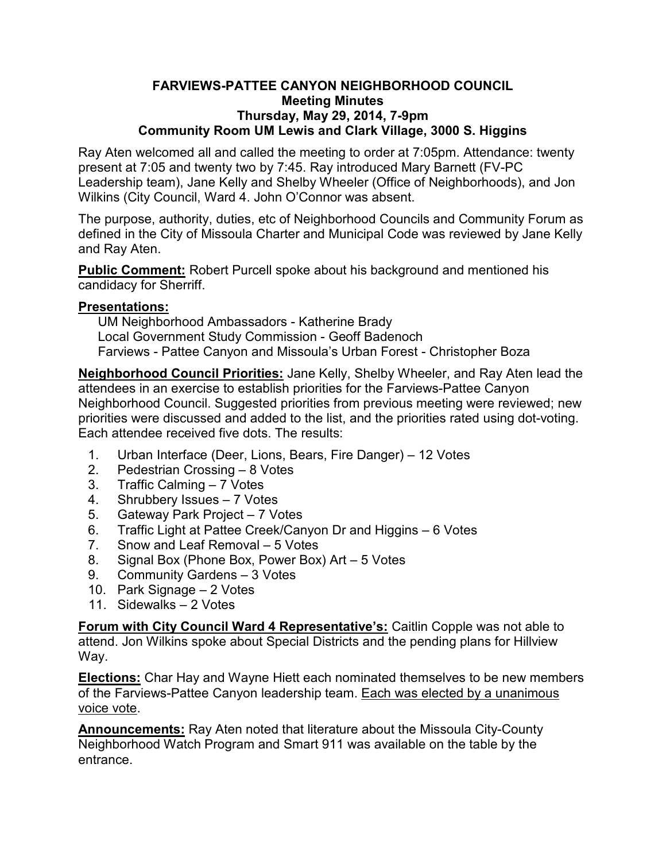## **FARVIEWS-PATTEE CANYON NEIGHBORHOOD COUNCIL Meeting Minutes Thursday, May 29, 2014, 7-9pm Community Room UM Lewis and Clark Village, 3000 S. Higgins**

Ray Aten welcomed all and called the meeting to order at 7:05pm. Attendance: twenty present at 7:05 and twenty two by 7:45. Ray introduced Mary Barnett (FV-PC Leadership team), Jane Kelly and Shelby Wheeler (Office of Neighborhoods), and Jon Wilkins (City Council, Ward 4. John O'Connor was absent.

The purpose, authority, duties, etc of Neighborhood Councils and Community Forum as defined in the City of Missoula Charter and Municipal Code was reviewed by Jane Kelly and Ray Aten.

**Public Comment:** Robert Purcell spoke about his background and mentioned his candidacy for Sherriff.

## **Presentations:**

UM Neighborhood Ambassadors - Katherine Brady Local Government Study Commission - Geoff Badenoch Farviews - Pattee Canyon and Missoula's Urban Forest - Christopher Boza

**Neighborhood Council Priorities:** Jane Kelly, Shelby Wheeler, and Ray Aten lead the attendees in an exercise to establish priorities for the Farviews-Pattee Canyon Neighborhood Council. Suggested priorities from previous meeting were reviewed; new priorities were discussed and added to the list, and the priorities rated using dot-voting. Each attendee received five dots. The results:

- 1. Urban Interface (Deer, Lions, Bears, Fire Danger) 12 Votes
- 2. Pedestrian Crossing 8 Votes
- 3. Traffic Calming 7 Votes
- 4. Shrubbery Issues 7 Votes
- 5. Gateway Park Project 7 Votes
- 6. Traffic Light at Pattee Creek/Canyon Dr and Higgins 6 Votes
- 7. Snow and Leaf Removal 5 Votes
- 8. Signal Box (Phone Box, Power Box) Art 5 Votes
- 9. Community Gardens 3 Votes
- 10. Park Signage 2 Votes
- 11. Sidewalks 2 Votes

**Forum with City Council Ward 4 Representative's:** Caitlin Copple was not able to attend. Jon Wilkins spoke about Special Districts and the pending plans for Hillview Way.

**Elections:** Char Hay and Wayne Hiett each nominated themselves to be new members of the Farviews-Pattee Canyon leadership team. Each was elected by a unanimous voice vote.

**Announcements:** Ray Aten noted that literature about the Missoula City-County Neighborhood Watch Program and Smart 911 was available on the table by the entrance.